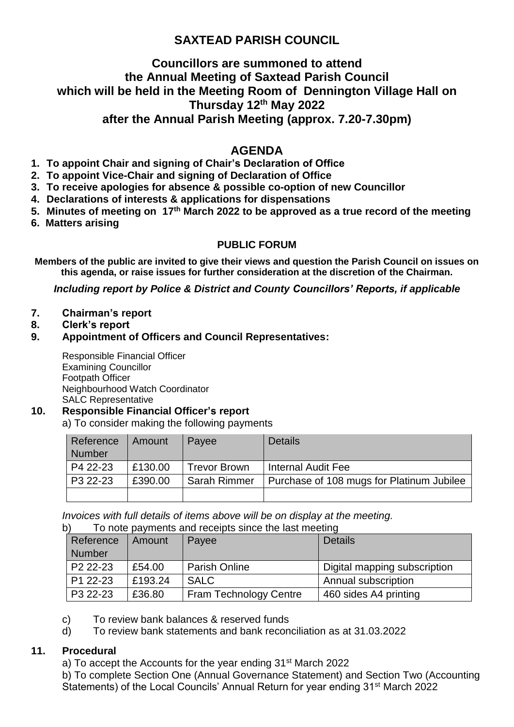# **SAXTEAD PARISH COUNCIL**

### **Councillors are summoned to attend the Annual Meeting of Saxtead Parish Council which will be held in the Meeting Room of Dennington Village Hall on Thursday 12th May 2022 after the Annual Parish Meeting (approx. 7.20-7.30pm)**

## **AGENDA**

- **1. To appoint Chair and signing of Chair's Declaration of Office**
- **2. To appoint Vice-Chair and signing of Declaration of Office**
- **3. To receive apologies for absence & possible co-option of new Councillor**
- **4. Declarations of interests & applications for dispensations**
- **5. Minutes of meeting on 17 th March 2022 to be approved as a true record of the meeting**
- **6. Matters arising**

### **PUBLIC FORUM**

**Members of the public are invited to give their views and question the Parish Council on issues on this agenda, or raise issues for further consideration at the discretion of the Chairman.**

*Including report by Police & District and County Councillors' Reports, if applicable*

- **7. Chairman's report**
- **8. Clerk's report**

#### **9. Appointment of Officers and Council Representatives:**

Responsible Financial Officer Examining Councillor Footpath Officer Neighbourhood Watch Coordinator SALC Representative

### **10. Responsible Financial Officer's report**

a) To consider making the following payments

| Reference     | Amount  | Payee               | <b>Details</b>                            |
|---------------|---------|---------------------|-------------------------------------------|
| <b>Number</b> |         |                     |                                           |
| P4 22-23      | £130.00 | <b>Trevor Brown</b> | Internal Audit Fee                        |
| P3 22-23      | £390.00 | <b>Sarah Rimmer</b> | Purchase of 108 mugs for Platinum Jubilee |
|               |         |                     |                                           |

*Invoices with full details of items above will be on display at the meeting.* 

| b) | To note payments and receipts since the last meeting |         |                               |                              |  |
|----|------------------------------------------------------|---------|-------------------------------|------------------------------|--|
|    | Reference                                            | Amount  | Payee                         | <b>Details</b>               |  |
|    | <b>Number</b>                                        |         |                               |                              |  |
|    | P <sub>2</sub> 22-23                                 | £54.00  | <b>Parish Online</b>          | Digital mapping subscription |  |
|    | P1 22-23                                             | £193.24 | <b>SALC</b>                   | Annual subscription          |  |
|    | P3 22-23                                             | £36.80  | <b>Fram Technology Centre</b> | 460 sides A4 printing        |  |

- c) To review bank balances & reserved funds
- d) To review bank statements and bank reconciliation as at 31.03.2022

#### **11. Procedural**

a) To accept the Accounts for the year ending 31<sup>st</sup> March 2022

b) To complete Section One (Annual Governance Statement) and Section Two (Accounting Statements) of the Local Councils' Annual Return for year ending 31st March 2022